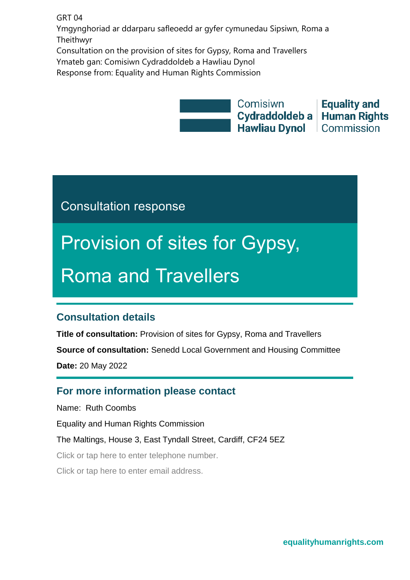GRT 04

Ymgynghoriad ar ddarparu safleoedd ar gyfer cymunedau Sipsiwn, Roma a Theithwyr

Consultation on the provision of sites for Gypsy, Roma and Travellers Ymateb gan: Comisiwn Cydraddoldeb a Hawliau Dynol Response from: Equality and Human Rights Commission



Consultation response

# Provision of sites for Gypsy, Roma and Travellers

### <span id="page-0-0"></span>**Consultation details**

**Title of consultation:** Provision of sites for Gypsy, Roma and Travellers **Source of consultation:** Senedd Local Government and Housing Committee **Date:** 20 May 2022

### <span id="page-0-1"></span>**For more information please contact**

Name: Ruth Coombs

Equality and Human Rights Commission

The Maltings, House 3, East Tyndall Street, Cardiff, CF24 5EZ

Click or tap here to enter telephone number.

Click or tap here to enter email address.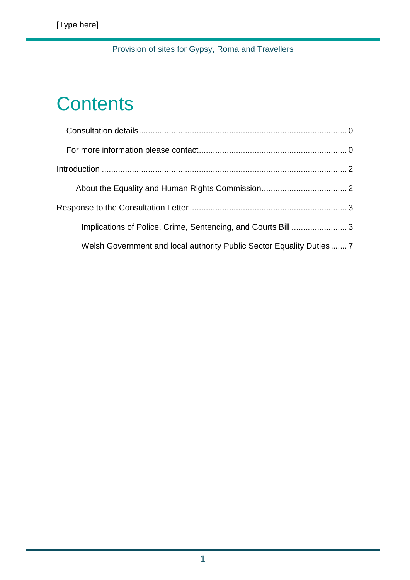## **Contents**

| Implications of Police, Crime, Sentencing, and Courts Bill  3       |  |
|---------------------------------------------------------------------|--|
| Welsh Government and local authority Public Sector Equality Duties7 |  |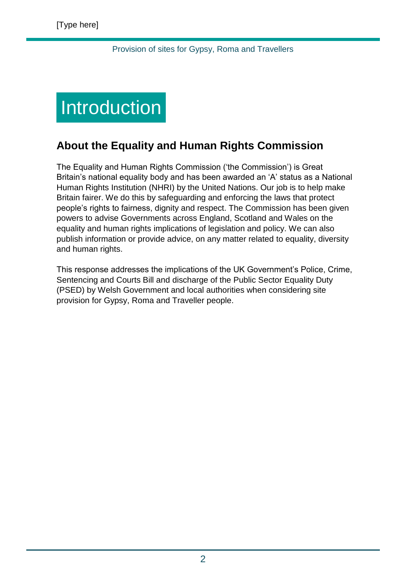## <span id="page-2-0"></span>**Introduction**

### <span id="page-2-1"></span>**About the Equality and Human Rights Commission**

The Equality and Human Rights Commission ('the Commission') is Great Britain's national equality body and has been awarded an 'A' status as a National Human Rights Institution (NHRI) by the United Nations. Our job is to help make Britain fairer. We do this by safeguarding and enforcing the laws that protect people's rights to fairness, dignity and respect. The Commission has been given powers to advise Governments across England, Scotland and Wales on the equality and human rights implications of legislation and policy. We can also publish information or provide advice, on any matter related to equality, diversity and human rights.

This response addresses the implications of the UK Government's Police, Crime, Sentencing and Courts Bill and discharge of the Public Sector Equality Duty (PSED) by Welsh Government and local authorities when considering site provision for Gypsy, Roma and Traveller people.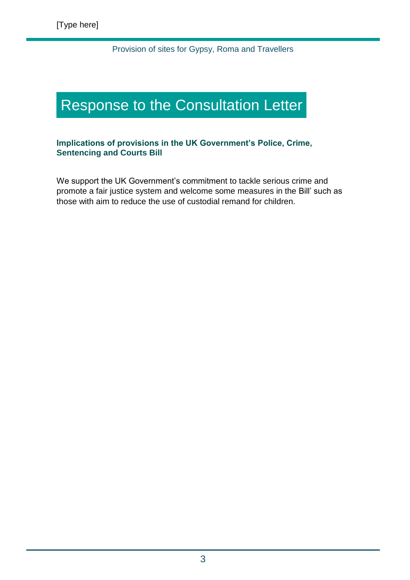### <span id="page-3-0"></span>Response to the Consultation Letter

### **Implications of provisions in the UK Government's Police, Crime, Sentencing and Courts Bill**

We support the UK Government's commitment to tackle serious crime and promote a fair justice system and welcome some measures in the Bill' such as those with aim to reduce the use of custodial remand for children.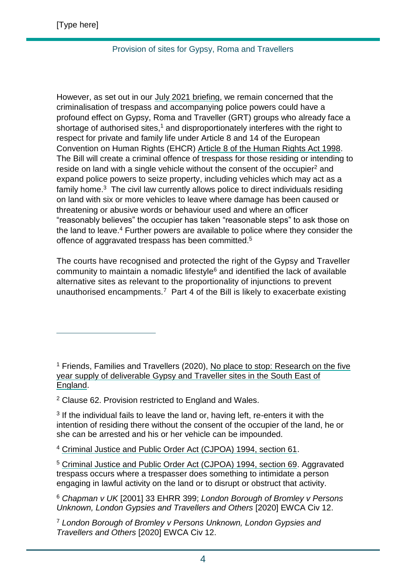$\overline{a}$ 

### Provision of sites for Gypsy, Roma and Travellers

However, as set out in our [July 2021 briefing,](https://www.equalityhumanrights.com/sites/default/files/ehrc_briefing_on_the_police_crime_sentencing_and_courts_bill_report_july_2021.docx) we remain concerned that the criminalisation of trespass and accompanying police powers could have a profound effect on Gypsy, Roma and Traveller (GRT) groups who already face a shortage of authorised sites,<sup>1</sup> and disproportionately interferes with the right to respect for private and family life under Article 8 and 14 of the European Convention on Human Rights (EHCR) [Article 8 of the Human Rights Act 1998.](https://www.legislation.gov.uk/ukpga/1998/42/schedule/1/part/I/chapter/7) The Bill will create a criminal offence of trespass for those residing or intending to reside on land with a single vehicle without the consent of the occupier<sup>2</sup> and expand police powers to seize property, including vehicles which may act as a family home.<sup>3</sup> The civil law currently allows police to direct individuals residing on land with six or more vehicles to leave where damage has been caused or threatening or abusive words or behaviour used and where an officer "reasonably believes" the occupier has taken "reasonable steps" to ask those on the land to leave.<sup>4</sup> Further powers are available to police where they consider the offence of aggravated trespass has been committed.<sup>5</sup>

The courts have recognised and protected the right of the Gypsy and Traveller community to maintain a nomadic lifestyle $6$  and identified the lack of available alternative sites as relevant to the proportionality of injunctions to prevent unauthorised encampments.<sup>7</sup> Part 4 of the Bill is likely to exacerbate existing

<sup>1</sup> Friends, Families and Travellers (2020), [No place to stop: Research on the five](https://www.gypsy-traveller.org/wp-content/uploads/2020/02/Research-on-the-five-year-supply-of-deliverable-Gypsy-and-Traveller-sites-in-the-South-East-of-England.pdf)  [year supply of deliverable Gypsy and Traveller sites in the South East of](https://www.gypsy-traveller.org/wp-content/uploads/2020/02/Research-on-the-five-year-supply-of-deliverable-Gypsy-and-Traveller-sites-in-the-South-East-of-England.pdf)  [England.](https://www.gypsy-traveller.org/wp-content/uploads/2020/02/Research-on-the-five-year-supply-of-deliverable-Gypsy-and-Traveller-sites-in-the-South-East-of-England.pdf)

<sup>2</sup> Clause 62. Provision restricted to England and Wales.

<sup>3</sup> If the individual fails to leave the land or, having left, re-enters it with the intention of residing there without the consent of the occupier of the land, he or she can be arrested and his or her vehicle can be impounded.

<sup>4</sup> [Criminal Justice and Public Order Act \(CJPOA\) 1994, section 61.](https://www.legislation.gov.uk/ukpga/1994/33/section/61)

<sup>5</sup> [Criminal Justice and Public Order Act \(CJPOA\) 1994, section 69.](https://www.legislation.gov.uk/ukpga/1994/33/section/69) Aggravated trespass occurs where a trespasser does something to intimidate a person engaging in lawful activity on the land or to disrupt or obstruct that activity.

<sup>6</sup> *Chapman v UK* [2001] 33 EHRR 399; *London Borough of Bromley v Persons Unknown, London Gypsies and Travellers and Others* [2020] EWCA Civ 12.

<sup>7</sup> *London Borough of Bromley v Persons Unknown, London Gypsies and Travellers and Others* [2020] EWCA Civ 12.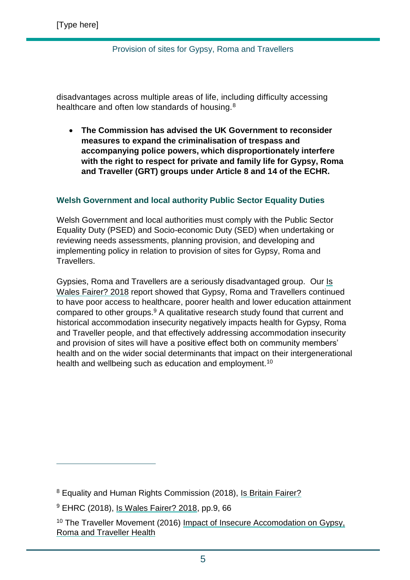disadvantages across multiple areas of life, including difficulty accessing healthcare and often low standards of housing.<sup>8</sup>

 **The Commission has advised the UK Government to reconsider measures to expand the criminalisation of trespass and accompanying police powers, which disproportionately interfere with the right to respect for private and family life for Gypsy, Roma and Traveller (GRT) groups under Article 8 and 14 of the ECHR.** 

### **Welsh Government and local authority Public Sector Equality Duties**

Welsh Government and local authorities must comply with the Public Sector Equality Duty (PSED) and Socio-economic Duty (SED) when undertaking or reviewing needs assessments, planning provision, and developing and implementing policy in relation to provision of sites for Gypsy, Roma and Travellers.

Gypsies, Roma and Travellers are a seriously disadvantaged group. Our Is [Wales Fairer? 2018](https://www.equalityhumanrights.com/en/publication-download/wales-fairer-2018) report showed that Gypsy, Roma and Travellers continued to have poor access to healthcare, poorer health and lower education attainment compared to other groups.<sup>9</sup> A qualitative research study found that current and historical accommodation insecurity negatively impacts health for Gypsy, Roma and Traveller people, and that effectively addressing accommodation insecurity and provision of sites will have a positive effect both on community members' health and on the wider social determinants that impact on their intergenerational health and wellbeing such as education and employment.<sup>10</sup>

 $\overline{a}$ 

<sup>&</sup>lt;sup>8</sup> Equality and Human Rights Commission (2018), [Is Britain Fairer?](https://www.equalityhumanrights.com/sites/default/files/is-britain-fairer-accessible.pdf)

<sup>9</sup> EHRC (2018), [Is Wales Fairer? 2018,](https://www.legislation.gov.uk/ukpga/1998/42/schedule/1/part/I/chapter/7) pp.9, 66

<sup>&</sup>lt;sup>10</sup> The Traveller Movement (2016) Impact of Insecure Accomodation on Gypsy, [Roma and Traveller Health](https://wp-main.travellermovement.org.uk/wp-content/uploads/2021/09/Impact-of-Insecure-Accommodation-on-GRT-Health-2016.pdf)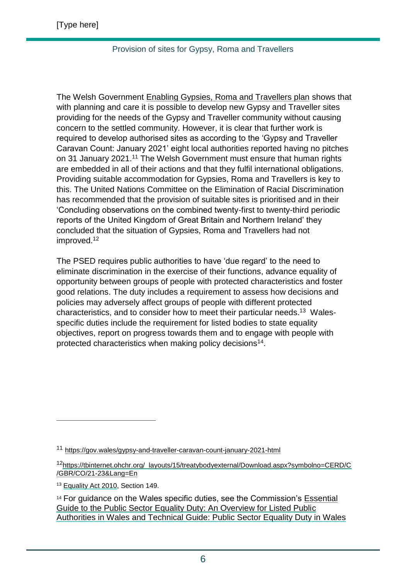The Welsh Government [Enabling Gypsies, Roma and Travellers plan](https://gov.wales/enabling-gypsies-roma-and-travellers-plan) shows that with planning and care it is possible to develop new Gypsy and Traveller sites providing for the needs of the Gypsy and Traveller community without causing concern to the settled community. However, it is clear that further work is required to develop authorised sites as according to the 'Gypsy and Traveller Caravan Count: January 2021' eight local authorities reported having no pitches on 31 January 2021.<sup>11</sup> The Welsh Government must ensure that human rights are embedded in all of their actions and that they fulfil international obligations. Providing suitable accommodation for Gypsies, Roma and Travellers is key to this. The United Nations Committee on the Elimination of Racial Discrimination has recommended that the provision of suitable sites is prioritised and in their 'Concluding observations on the combined twenty-first to twenty-third periodic reports of the United Kingdom of Great Britain and Northern Ireland' they concluded that the situation of Gypsies, Roma and Travellers had not improved.<sup>12</sup>

The PSED requires public authorities to have 'due regard' to the need to eliminate discrimination in the exercise of their functions, advance equality of opportunity between groups of people with protected characteristics and foster good relations. The duty includes a requirement to assess how decisions and policies may adversely affect groups of people with different protected characteristics, and to consider how to meet their particular needs. <sup>13</sup> Walesspecific duties include the requirement for listed bodies to state equality objectives, report on progress towards them and to engage with people with protected characteristics when making policy decisions<sup>14</sup>.

<sup>13</sup> [Equality Act 2010,](https://www.legislation.gov.uk/ukpga/2010/15/pdfs/ukpga_20100015_en.pdf) Section 149.

 $\overline{a}$ 

<sup>11</sup> <https://gov.wales/gypsy-and-traveller-caravan-count-january-2021-html>

<sup>12</sup>[https://tbinternet.ohchr.org/\\_layouts/15/treatybodyexternal/Download.aspx?symbolno=CERD/C](https://tbinternet.ohchr.org/_layouts/15/treatybodyexternal/Download.aspx?symbolno=CERD/C/GBR/CO/21-23&Lang=En) [/GBR/CO/21-23&Lang=En](https://tbinternet.ohchr.org/_layouts/15/treatybodyexternal/Download.aspx?symbolno=CERD/C/GBR/CO/21-23&Lang=En)

<sup>&</sup>lt;sup>14</sup> For guidance on the Wales specific duties, see the Commission's **Essential** [Guide to the Public Sector Equality Duty: An Overview for Listed Public](https://www.equalityhumanrights.com/sites/default/files/essential_guide_to_the_public_sector_equality_duty_wales.pdf)  [Authorities in Wales](https://www.equalityhumanrights.com/sites/default/files/essential_guide_to_the_public_sector_equality_duty_wales.pdf) and [Technical Guide: Public Sector Equality Duty in Wales](https://www.equalityhumanrights.com/en/publication-download/technical-guidance-public-sector-equality-duty-wales)